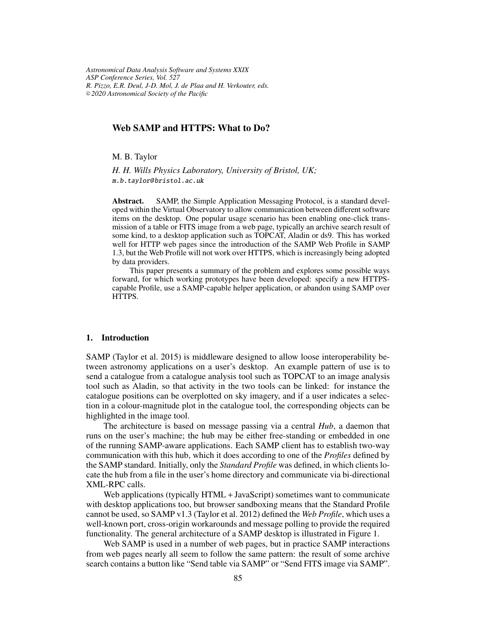*Astronomical Data Analysis Software and Systems XXIX ASP Conference Series, Vol. 527 R. Pizzo, E.R. Deul, J-D. Mol, J. de Plaa and H. Verkouter, eds.* <sup>c</sup> *2020 Astronomical Society of the Pacific*

# **Web SAMP and HTTPS: What to Do?**

M. B. Taylor

*H. H. Wills Physics Laboratory, University of Bristol, UK;* m.b.taylor@ bristol.ac.uk

**Abstract.** SAMP, the Simple Application Messaging Protocol, is a standard developed within the Virtual Observatory to allow communication between different software items on the desktop. One popular usage scenario has been enabling one-click transmission of a table or FITS image from a web page, typically an archive search result of some kind, to a desktop application such as TOPCAT, Aladin or ds9. This has worked well for HTTP web pages since the introduction of the SAMP Web Profile in SAMP 1.3, but the Web Profile will not work over HTTPS, which is increasingly being adopted by data providers.

This paper presents a summary of the problem and explores some possible ways forward, for which working prototypes have been developed: specify a new HTTPScapable Profile, use a SAMP-capable helper application, or abandon using SAMP over HTTPS.

### **1. Introduction**

SAMP (Taylor et al. 2015) is middleware designed to allow loose interoperability between astronomy applications on a user's desktop. An example pattern of use is to send a catalogue from a catalogue analysis tool such as TOPCAT to an image analysis tool such as Aladin, so that activity in the two tools can be linked: for instance the catalogue positions can be overplotted on sky imagery, and if a user indicates a selection in a colour-magnitude plot in the catalogue tool, the corresponding objects can be highlighted in the image tool.

The architecture is based on message passing via a central *Hub*, a daemon that runs on the user's machine; the hub may be either free-standing or embedded in one of the running SAMP-aware applications. Each SAMP client has to establish two-way communication with this hub, which it does according to one of the *Profiles* defined by the SAMP standard. Initially, only the *Standard Profile* was defined, in which clients locate the hub from a file in the user's home directory and communicate via bi-directional XML-RPC calls.

Web applications (typically HTML + JavaScript) sometimes want to communicate with desktop applications too, but browser sandboxing means that the Standard Profile cannot be used, so SAMP v1.3 (Taylor et al. 2012) defined the *Web Profile*, which uses a well-known port, cross-origin workarounds and message polling to provide the required functionality. The general architecture of a SAMP desktop is illustrated in Figure 1.

Web SAMP is used in a number of web pages, but in practice SAMP interactions from web pages nearly all seem to follow the same pattern: the result of some archive search contains a button like "Send table via SAMP" or "Send FITS image via SAMP".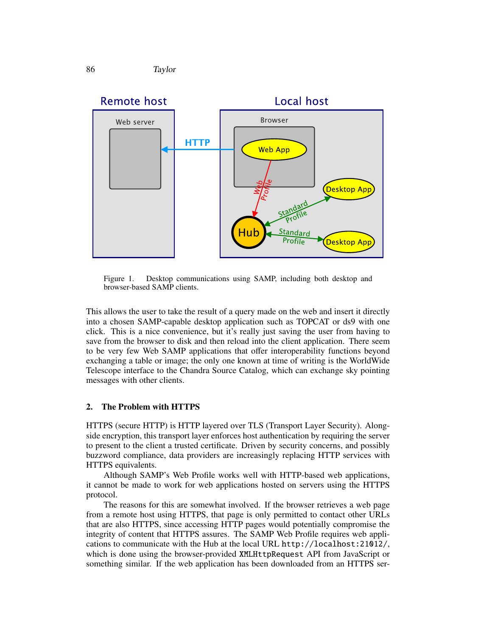



Figure 1. Desktop communications using SAMP, including both desktop and browser-based SAMP clients.

This allows the user to take the result of a query made on the web and insert it directly into a chosen SAMP-capable desktop application such as TOPCAT or ds9 with one click. This is a nice convenience, but it's really just saving the user from having to save from the browser to disk and then reload into the client application. There seem to be very few Web SAMP applications that offer interoperability functions beyond exchanging a table or image; the only one known at time of writing is the WorldWide Telescope interface to the Chandra Source Catalog, which can exchange sky pointing messages with other clients.

### **2. The Problem with HTTPS**

HTTPS (secure HTTP) is HTTP layered over TLS (Transport Layer Security). Alongside encryption, this transport layer enforces host authentication by requiring the server to present to the client a trusted certificate. Driven by security concerns, and possibly buzzword compliance, data providers are increasingly replacing HTTP services with HTTPS equivalents.

Although SAMP's Web Profile works well with HTTP-based web applications, it cannot be made to work for web applications hosted on servers using the HTTPS protocol.

The reasons for this are somewhat involved. If the browser retrieves a web page from a remote host using HTTPS, that page is only permitted to contact other URLs that are also HTTPS, since accessing HTTP pages would potentially compromise the integrity of content that HTTPS assures. The SAMP Web Profile requires web applications to communicate with the Hub at the local URL http://localhost:21012/, which is done using the browser-provided XMLHttpRequest API from JavaScript or something similar. If the web application has been downloaded from an HTTPS ser-

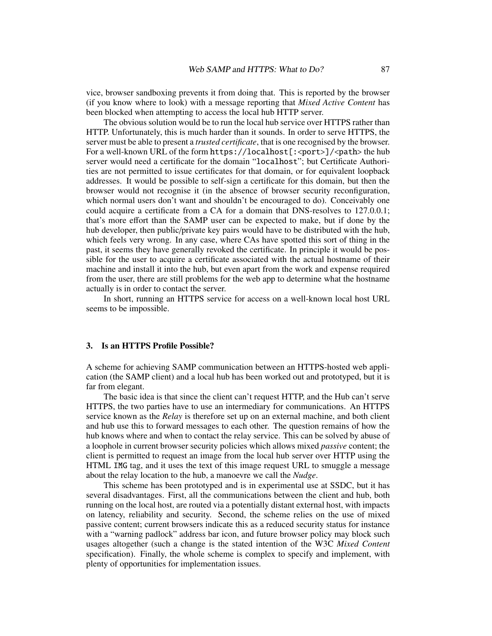vice, browser sandboxing prevents it from doing that. This is reported by the browser (if you know where to look) with a message reporting that *Mixed Active Content* has been blocked when attempting to access the local hub HTTP server.

The obvious solution would be to run the local hub service over HTTPS rather than HTTP. Unfortunately, this is much harder than it sounds. In order to serve HTTPS, the server must be able to present a *trusted certificate*, that is one recognised by the browser. For a well-known URL of the form  $https://localhost[:*port*]/*path* the hub$ server would need a certificate for the domain "localhost"; but Certificate Authorities are not permitted to issue certificates for that domain, or for equivalent loopback addresses. It would be possible to self-sign a certificate for this domain, but then the browser would not recognise it (in the absence of browser security reconfiguration, which normal users don't want and shouldn't be encouraged to do). Conceivably one could acquire a certificate from a CA for a domain that DNS-resolves to 127.0.0.1; that's more effort than the SAMP user can be expected to make, but if done by the hub developer, then public/private key pairs would have to be distributed with the hub, which feels very wrong. In any case, where CAs have spotted this sort of thing in the past, it seems they have generally revoked the certificate. In principle it would be possible for the user to acquire a certificate associated with the actual hostname of their machine and install it into the hub, but even apart from the work and expense required from the user, there are still problems for the web app to determine what the hostname actually is in order to contact the server.

In short, running an HTTPS service for access on a well-known local host URL seems to be impossible.

### **3. Is an HTTPS Profile Possible?**

A scheme for achieving SAMP communication between an HTTPS-hosted web application (the SAMP client) and a local hub has been worked out and prototyped, but it is far from elegant.

The basic idea is that since the client can't request HTTP, and the Hub can't serve HTTPS, the two parties have to use an intermediary for communications. An HTTPS service known as the *Relay* is therefore set up on an external machine, and both client and hub use this to forward messages to each other. The question remains of how the hub knows where and when to contact the relay service. This can be solved by abuse of a loophole in current browser security policies which allows mixed *passive* content; the client is permitted to request an image from the local hub server over HTTP using the HTML IMG tag, and it uses the text of this image request URL to smuggle a message about the relay location to the hub, a manoevre we call the *Nudge*.

This scheme has been prototyped and is in experimental use at SSDC, but it has several disadvantages. First, all the communications between the client and hub, both running on the local host, are routed via a potentially distant external host, with impacts on latency, reliability and security. Second, the scheme relies on the use of mixed passive content; current browsers indicate this as a reduced security status for instance with a "warning padlock" address bar icon, and future browser policy may block such usages altogether (such a change is the stated intention of the W3C *Mixed Content* specification). Finally, the whole scheme is complex to specify and implement, with plenty of opportunities for implementation issues.